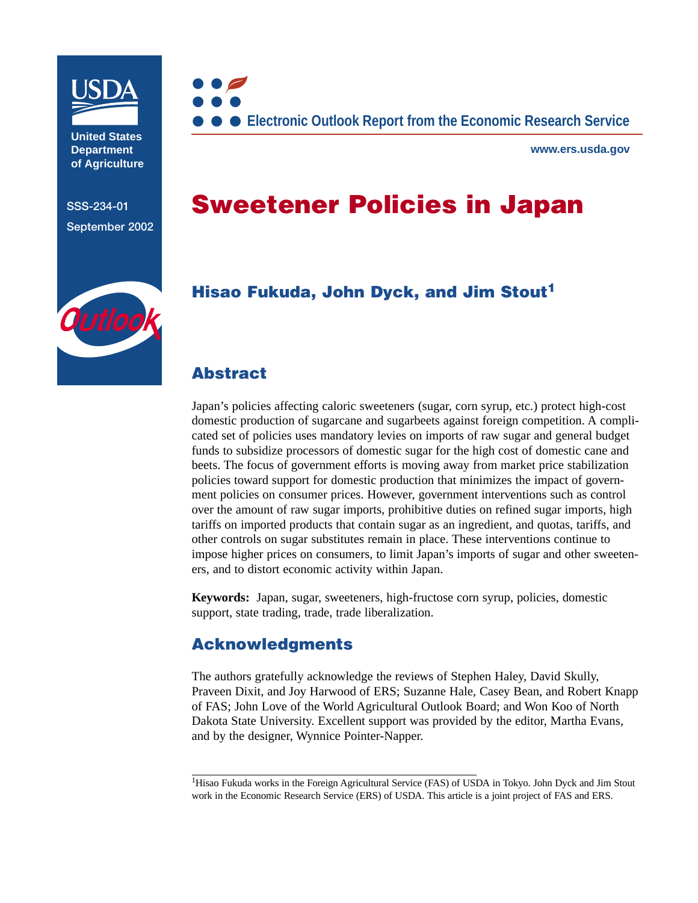

**United States Department of Agriculture**

**SSS-234-01 September 2002**



**www.ers.usda.gov**

# **Sweetener Policies in Japan**



## **Hisao Fukuda, [John Dyck](mailto:jdyck@ers.usda.gov), and [Jim Stout1](mailto:jstout@ers.usda.gov)**

### **Abstract**

Japan's policies affecting caloric sweeteners (sugar, corn syrup, etc.) protect high-cost domestic production of sugarcane and sugarbeets against foreign competition. A complicated set of policies uses mandatory levies on imports of raw sugar and general budget funds to subsidize processors of domestic sugar for the high cost of domestic cane and beets. The focus of government efforts is moving away from market price stabilization policies toward support for domestic production that minimizes the impact of government policies on consumer prices. However, government interventions such as control over the amount of raw sugar imports, prohibitive duties on refined sugar imports, high tariffs on imported products that contain sugar as an ingredient, and quotas, tariffs, and other controls on sugar substitutes remain in place. These interventions continue to impose higher prices on consumers, to limit Japan's imports of sugar and other sweeteners, and to distort economic activity within Japan.

**Keywords:** Japan, sugar, sweeteners, high-fructose corn syrup, policies, domestic support, state trading, trade, trade liberalization.

### **Acknowledgments**

The authors gratefully acknowledge the reviews of Stephen Haley, David Skully, Praveen Dixit, and Joy Harwood of ERS; Suzanne Hale, Casey Bean, and Robert Knapp of FAS; John Love of the World Agricultural Outlook Board; and Won Koo of North Dakota State University. Excellent support was provided by the editor, Martha Evans, and by the designer, Wynnice Pointer-Napper.

<sup>&</sup>lt;sup>1</sup>Hisao Fukuda works in the Foreign Agricultural Service (FAS) of USDA in Tokyo. John Dyck and Jim Stout work in the Economic Research Service (ERS) of USDA. This article is a joint project of FAS and ERS.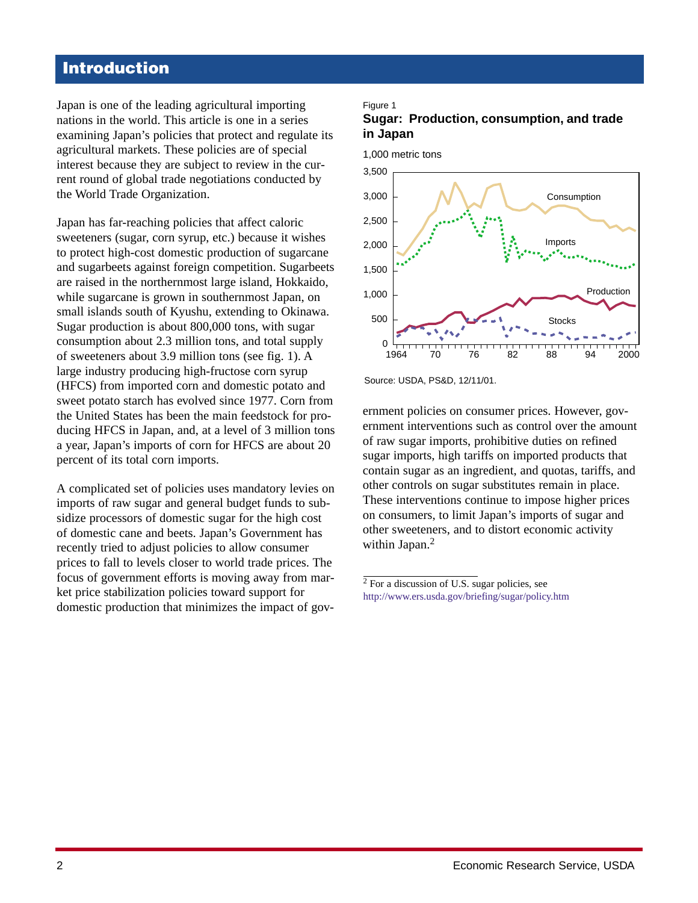# **Introduction**

Japan is one of the leading agricultural importing nations in the world. This article is one in a series examining Japan's policies that protect and regulate its agricultural markets. These policies are of special interest because they are subject to review in the current round of global trade negotiations conducted by the World Trade Organization.

Japan has far-reaching policies that affect caloric sweeteners (sugar, corn syrup, etc.) because it wishes to protect high-cost domestic production of sugarcane and sugarbeets against foreign competition. Sugarbeets are raised in the northernmost large island, Hokkaido, while sugarcane is grown in southernmost Japan, on small islands south of Kyushu, extending to Okinawa. Sugar production is about 800,000 tons, with sugar consumption about 2.3 million tons, and total supply of sweeteners about 3.9 million tons (see fig. 1). A large industry producing high-fructose corn syrup (HFCS) from imported corn and domestic potato and sweet potato starch has evolved since 1977. Corn from the United States has been the main feedstock for producing HFCS in Japan, and, at a level of 3 million tons a year, Japan's imports of corn for HFCS are about 20 percent of its total corn imports.

A complicated set of policies uses mandatory levies on imports of raw sugar and general budget funds to subsidize processors of domestic sugar for the high cost of domestic cane and beets. Japan's Government has recently tried to adjust policies to allow consumer prices to fall to levels closer to world trade prices. The focus of government efforts is moving away from market price stabilization policies toward support for domestic production that minimizes the impact of gov-

#### Figure 1

#### **Sugar: Production, consumption, and trade in Japan**



Source: USDA, PS&D, 12/11/01.

ernment policies on consumer prices. However, government interventions such as control over the amount of raw sugar imports, prohibitive duties on refined sugar imports, high tariffs on imported products that contain sugar as an ingredient, and quotas, tariffs, and other controls on sugar substitutes remain in place. These interventions continue to impose higher prices on consumers, to limit Japan's imports of sugar and other sweeteners, and to distort economic activity within Japan.<sup>2</sup>

 $2$  For a discussion of U.S. sugar policies, see <http://www.ers.usda.gov/briefing/sugar/policy.htm>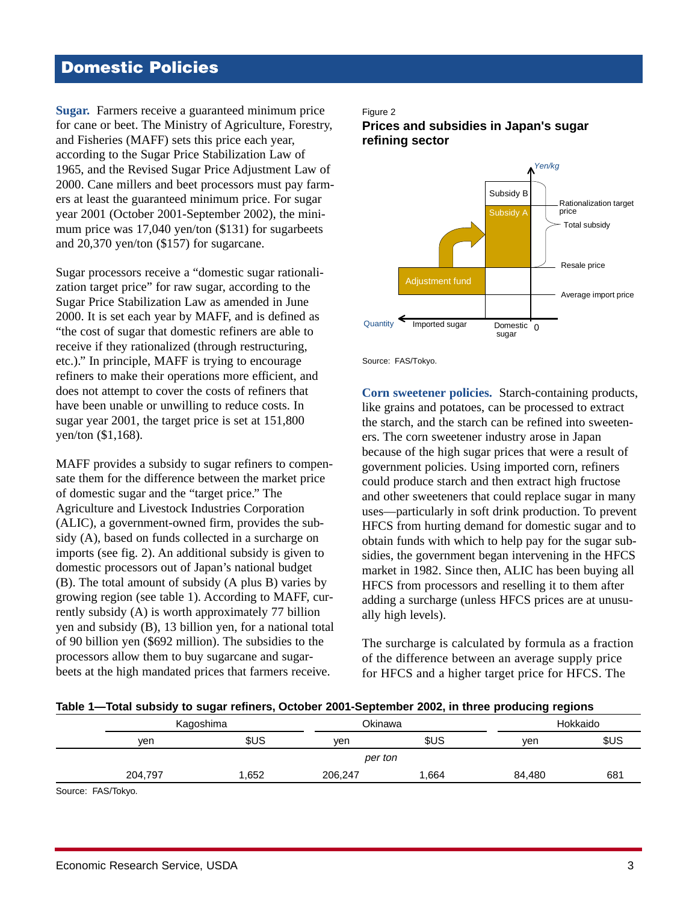# <span id="page-2-0"></span>**Domestic Policies**

**Sugar.** Farmers receive a guaranteed minimum price for cane or beet. The Ministry of Agriculture, Forestry, and Fisheries (MAFF) sets this price each year, according to the Sugar Price Stabilization Law of 1965, and the Revised Sugar Price Adjustment Law of 2000. Cane millers and beet processors must pay farmers at least the guaranteed minimum price. For sugar year 2001 (October 2001-September 2002), the minimum price was 17,040 yen/ton (\$131) for sugarbeets and 20,370 yen/ton (\$157) for sugarcane.

Sugar processors receive a "domestic sugar rationalization target price" for raw sugar, according to the Sugar Price Stabilization Law as amended in June 2000. It is set each year by MAFF, and is defined as "the cost of sugar that domestic refiners are able to receive if they rationalized (through restructuring, etc.)." In principle, MAFF is trying to encourage refiners to make their operations more efficient, and does not attempt to cover the costs of refiners that have been unable or unwilling to reduce costs. In sugar year 2001, the target price is set at 151,800 yen/ton (\$1,168).

MAFF provides a subsidy to sugar refiners to compensate them for the difference between the market price of domestic sugar and the "target price." The Agriculture and Livestock Industries Corporation (ALIC), a government-owned firm, provides the subsidy (A), based on funds collected in a surcharge on imports (see fig. 2). An additional subsidy is given to domestic processors out of Japan's national budget (B). The total amount of subsidy (A plus B) varies by growing region (see table 1). According to MAFF, currently subsidy (A) is worth approximately 77 billion yen and subsidy (B), 13 billion yen, for a national total of 90 billion yen (\$692 million). The subsidies to the processors allow them to buy sugarcane and sugarbeets at the high mandated prices that farmers receive.

### Figure 2

**Prices and subsidies in Japan's sugar refining sector**



Source: FAS/Tokyo.

**Corn sweetener policies.** Starch-containing products, like grains and potatoes, can be processed to extract the starch, and the starch can be refined into sweeteners. The corn sweetener industry arose in Japan because of the high sugar prices that were a result of government policies. Using imported corn, refiners could produce starch and then extract high fructose and other sweeteners that could replace sugar in many uses—particularly in soft drink production. To prevent HFCS from hurting demand for domestic sugar and to obtain funds with which to help pay for the sugar subsidies, the government began intervening in the HFCS market in 1982. Since then, ALIC has been buying all HFCS from processors and reselling it to them after adding a surcharge (unless HFCS prices are at unusually high levels).

The surcharge is calculated by formula as a fraction of the difference between an average supply price for HFCS and a higher target price for HFCS. The

| iuwiv i            | TOMI JUDINY IO JUMNI TOMIOTJI ODIODOL EDDT OOPIGMIDOL EDDE, MI IMOG PIOMODNIM IOMIONIJ |      |         |            |          |      |  |  |  |  |
|--------------------|----------------------------------------------------------------------------------------|------|---------|------------|----------|------|--|--|--|--|
|                    | Kagoshima                                                                              |      | Okinawa |            | Hokkaido |      |  |  |  |  |
|                    | ven                                                                                    | \$US | ven     | <b>SUS</b> | ven      | \$US |  |  |  |  |
|                    |                                                                                        |      | per ton |            |          |      |  |  |  |  |
|                    | 204.797                                                                                | .652 | 206.247 | 664. ا     | 84.480   | 681  |  |  |  |  |
| Source: FAS/Tokyo. |                                                                                        |      |         |            |          |      |  |  |  |  |

#### **Table 1—Total subsidy to sugar refiners, October 2001-September 2002, in three producing regions**

Economic Research Service, USDA 3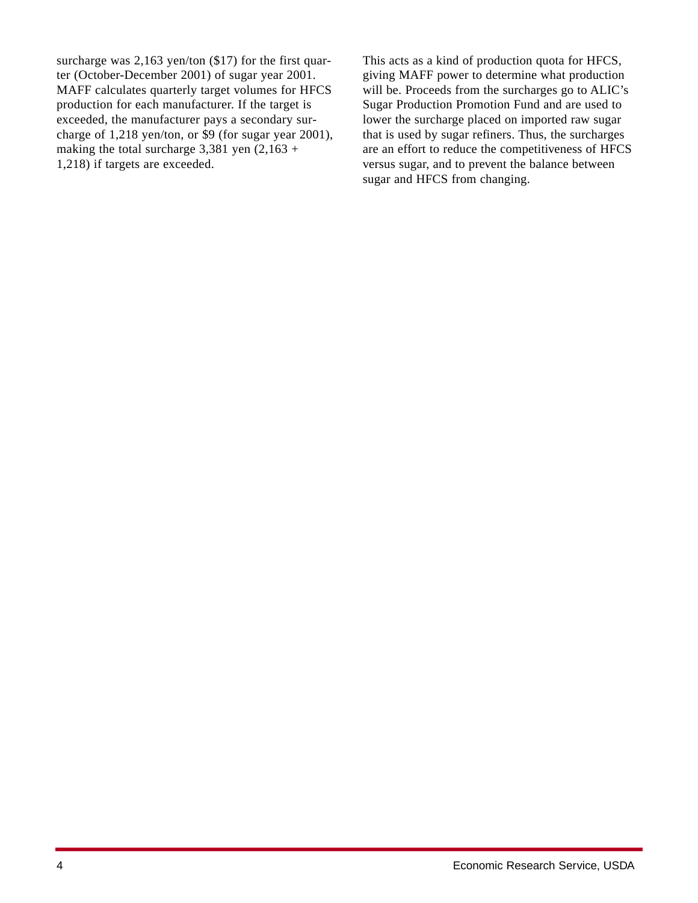surcharge was 2,163 yen/ton (\$17) for the first quarter (October-December 2001) of sugar year 2001. MAFF calculates quarterly target volumes for HFCS production for each manufacturer. If the target is exceeded, the manufacturer pays a secondary surcharge of 1,218 yen/ton, or \$9 (for sugar year 2001), making the total surcharge  $3,381$  yen  $(2,163 +$ 1,218) if targets are exceeded.

This acts as a kind of production quota for HFCS, giving MAFF power to determine what production will be. Proceeds from the surcharges go to ALIC's Sugar Production Promotion Fund and are used to lower the surcharge placed on imported raw sugar that is used by sugar refiners. Thus, the surcharges are an effort to reduce the competitiveness of HFCS versus sugar, and to prevent the balance between sugar and HFCS from changing.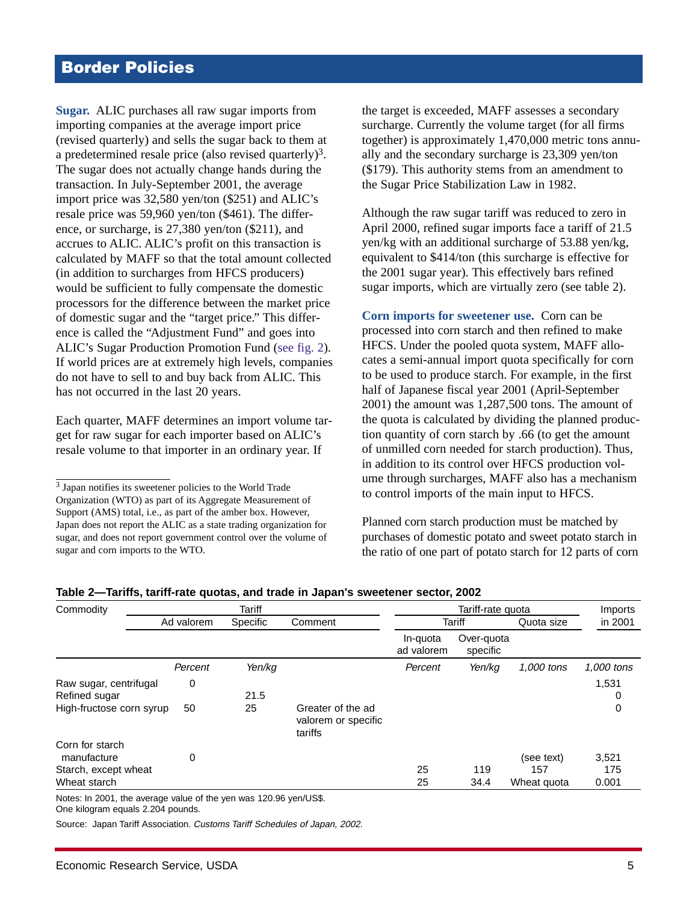# <span id="page-4-0"></span>**Border Policies**

**Sugar.** ALIC purchases all raw sugar imports from importing companies at the average import price (revised quarterly) and sells the sugar back to them at a predetermined resale price (also revised quarterly)<sup>3</sup>. The sugar does not actually change hands during the transaction. In July-September 2001, the average import price was 32,580 yen/ton (\$251) and ALIC's resale price was 59,960 yen/ton (\$461). The difference, or surcharge, is 27,380 yen/ton (\$211), and accrues to ALIC. ALIC's profit on this transaction is calculated by MAFF so that the total amount collected (in addition to surcharges from HFCS producers) would be sufficient to fully compensate the domestic processors for the difference between the market price of domestic sugar and the "target price." This difference is called the "Adjustment Fund" and goes into ALIC's Sugar Production Promotion Fund [\(see fig. 2\)](#page-2-0). If world prices are at extremely high levels, companies do not have to sell to and buy back from ALIC. This has not occurred in the last 20 years.

Each quarter, MAFF determines an import volume target for raw sugar for each importer based on ALIC's resale volume to that importer in an ordinary year. If

the target is exceeded, MAFF assesses a secondary surcharge. Currently the volume target (for all firms together) is approximately 1,470,000 metric tons annually and the secondary surcharge is 23,309 yen/ton (\$179). This authority stems from an amendment to the Sugar Price Stabilization Law in 1982.

Although the raw sugar tariff was reduced to zero in April 2000, refined sugar imports face a tariff of 21.5 yen/kg with an additional surcharge of 53.88 yen/kg, equivalent to \$414/ton (this surcharge is effective for the 2001 sugar year). This effectively bars refined sugar imports, which are virtually zero (see table 2).

**Corn imports for sweetener use.** Corn can be processed into corn starch and then refined to make HFCS. Under the pooled quota system, MAFF allocates a semi-annual import quota specifically for corn to be used to produce starch. For example, in the first half of Japanese fiscal year 2001 (April-September 2001) the amount was 1,287,500 tons. The amount of the quota is calculated by dividing the planned production quantity of corn starch by .66 (to get the amount of unmilled corn needed for starch production). Thus, in addition to its control over HFCS production volume through surcharges, MAFF also has a mechanism to control imports of the main input to HFCS.

Planned corn starch production must be matched by purchases of domestic potato and sweet potato starch in the ratio of one part of potato starch for 12 parts of corn

| Tariff                              |            |                                          | Tariff-rate quota      |             |                   | Imports                   |
|-------------------------------------|------------|------------------------------------------|------------------------|-------------|-------------------|---------------------------|
| Ad valorem                          | Specific   | Comment                                  | Tariff                 |             | Quota size        | in 2001                   |
|                                     |            |                                          | In-quota<br>ad valorem | specific    |                   |                           |
| Percent                             | Yen/ka     |                                          | Percent                | Yen/ka      | 1,000 tons        | 1,000 tons                |
| 0<br>High-fructose corn syrup<br>50 | 21.5<br>25 | Greater of the ad<br>valorem or specific |                        |             |                   | 1,531<br>0<br>0           |
| 0                                   |            |                                          | 25<br>25               | 119<br>34.4 | (see text)<br>157 | 3,521<br>175<br>0.001     |
|                                     |            |                                          | tariffs                |             |                   | Over-quota<br>Wheat quota |

**Table 2—Tariffs, tariff-rate quotas, and trade in Japan's sweetener sector, 2002**

Notes: In 2001, the average value of the yen was 120.96 yen/US\$.

One kilogram equals 2.204 pounds.

Source: Japan Tariff Association. Customs Tariff Schedules of Japan, 2002.

<sup>3</sup> Japan notifies its sweetener policies to the World Trade Organization (WTO) as part of its Aggregate Measurement of Support (AMS) total, i.e., as part of the amber box. However, Japan does not report the ALIC as a state trading organization for sugar, and does not report government control over the volume of sugar and corn imports to the WTO.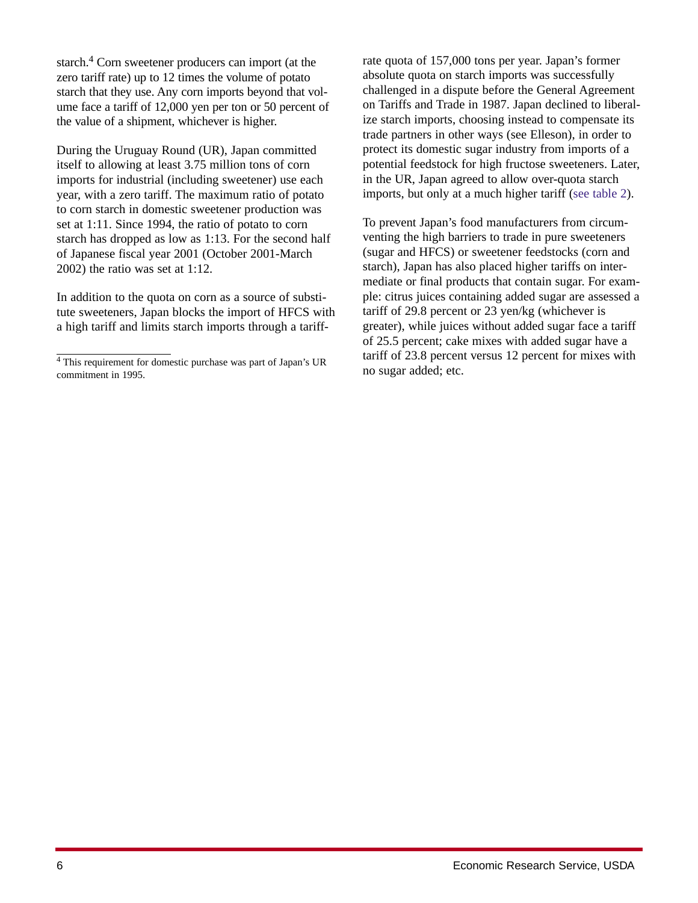starch.4 Corn sweetener producers can import (at the zero tariff rate) up to 12 times the volume of potato starch that they use. Any corn imports beyond that volume face a tariff of 12,000 yen per ton or 50 percent of the value of a shipment, whichever is higher.

During the Uruguay Round (UR), Japan committed itself to allowing at least 3.75 million tons of corn imports for industrial (including sweetener) use each year, with a zero tariff. The maximum ratio of potato to corn starch in domestic sweetener production was set at 1:11. Since 1994, the ratio of potato to corn starch has dropped as low as 1:13. For the second half of Japanese fiscal year 2001 (October 2001-March 2002) the ratio was set at 1:12.

In addition to the quota on corn as a source of substitute sweeteners, Japan blocks the import of HFCS with a high tariff and limits starch imports through a tariffrate quota of 157,000 tons per year. Japan's former absolute quota on starch imports was successfully challenged in a dispute before the General Agreement on Tariffs and Trade in 1987. Japan declined to liberalize starch imports, choosing instead to compensate its trade partners in other ways (see Elleson), in order to protect its domestic sugar industry from imports of a potential feedstock for high fructose sweeteners. Later, in the UR, Japan agreed to allow over-quota starch imports, but only at a much higher tariff [\(see table 2\)](#page-4-0).

To prevent Japan's food manufacturers from circumventing the high barriers to trade in pure sweeteners (sugar and HFCS) or sweetener feedstocks (corn and starch), Japan has also placed higher tariffs on intermediate or final products that contain sugar. For example: citrus juices containing added sugar are assessed a tariff of 29.8 percent or 23 yen/kg (whichever is greater), while juices without added sugar face a tariff of 25.5 percent; cake mixes with added sugar have a tariff of 23.8 percent versus 12 percent for mixes with no sugar added; etc.

<sup>4</sup> This requirement for domestic purchase was part of Japan's UR commitment in 1995.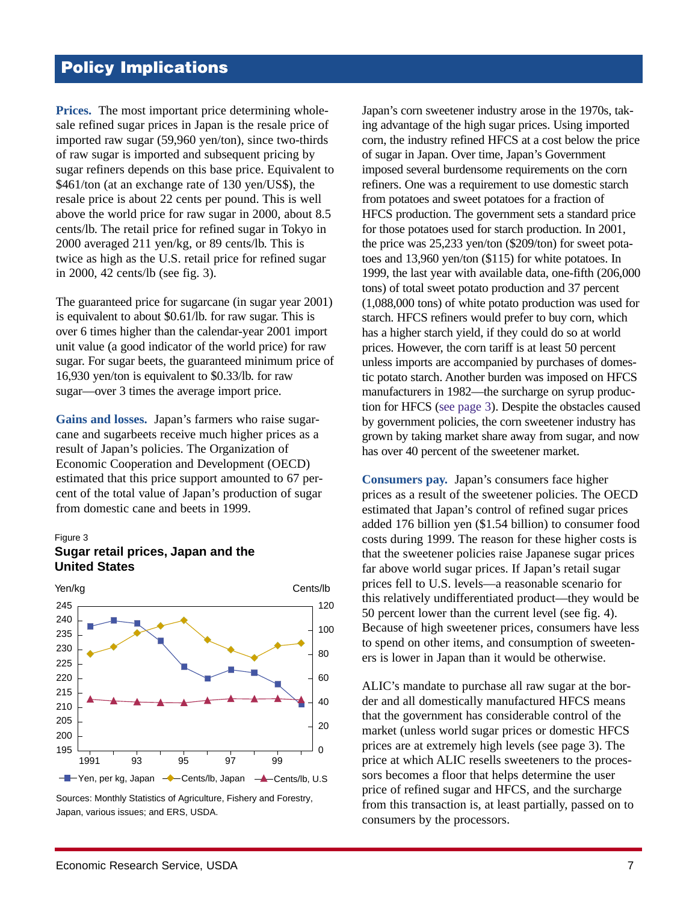# **Policy Implications**

**Prices.** The most important price determining wholesale refined sugar prices in Japan is the resale price of imported raw sugar (59,960 yen/ton), since two-thirds of raw sugar is imported and subsequent pricing by sugar refiners depends on this base price. Equivalent to \$461/ton (at an exchange rate of 130 yen/US\$), the resale price is about 22 cents per pound. This is well above the world price for raw sugar in 2000, about 8.5 cents/lb. The retail price for refined sugar in Tokyo in 2000 averaged 211 yen/kg, or 89 cents/lb. This is twice as high as the U.S. retail price for refined sugar in 2000, 42 cents/lb (see fig. 3).

The guaranteed price for sugarcane (in sugar year 2001) is equivalent to about \$0.61/lb. for raw sugar. This is over 6 times higher than the calendar-year 2001 import unit value (a good indicator of the world price) for raw sugar. For sugar beets, the guaranteed minimum price of 16,930 yen/ton is equivalent to \$0.33/lb. for raw sugar—over 3 times the average import price.

**Gains and losses.** Japan's farmers who raise sugarcane and sugarbeets receive much higher prices as a result of Japan's policies. The Organization of Economic Cooperation and Development (OECD) estimated that this price support amounted to 67 percent of the total value of Japan's production of sugar from domestic cane and beets in 1999.

### Figure 3





Sources: Monthly Statistics of Agriculture, Fishery and Forestry, Japan, various issues; and ERS, USDA.

Japan's corn sweetener industry arose in the 1970s, taking advantage of the high sugar prices. Using imported corn, the industry refined HFCS at a cost below the price of sugar in Japan. Over time, Japan's Government imposed several burdensome requirements on the corn refiners. One was a requirement to use domestic starch from potatoes and sweet potatoes for a fraction of HFCS production. The government sets a standard price for those potatoes used for starch production. In 2001, the price was 25,233 yen/ton (\$209/ton) for sweet potatoes and 13,960 yen/ton (\$115) for white potatoes. In 1999, the last year with available data, one-fifth (206,000 tons) of total sweet potato production and 37 percent (1,088,000 tons) of white potato production was used for starch. HFCS refiners would prefer to buy corn, which has a higher starch yield, if they could do so at world prices. However, the corn tariff is at least 50 percent unless imports are accompanied by purchases of domestic potato starch. Another burden was imposed on HFCS manufacturers in 1982—the surcharge on syrup production for HFCS [\(see page 3](#page-2-0)). Despite the obstacles caused by government policies, the corn sweetener industry has grown by taking market share away from sugar, and now has over 40 percent of the sweetener market.

**Consumers pay.** Japan's consumers face higher prices as a result of the sweetener policies. The OECD estimated that Japan's control of refined sugar prices added 176 billion yen (\$1.54 billion) to consumer food costs during 1999. The reason for these higher costs is that the sweetener policies raise Japanese sugar prices far above world sugar prices. If Japan's retail sugar prices fell to U.S. levels—a reasonable scenario for this relatively undifferentiated product—they would be 50 percent lower than the current level [\(see fig. 4\)](#page-7-0). Because of high sweetener prices, consumers have less to spend on other items, and consumption of sweeteners is lower in Japan than it would be otherwise.

ALIC's mandate to purchase all raw sugar at the border and all domestically manufactured HFCS means that the government has considerable control of the market (unless world sugar prices or domestic HFCS prices are at extremely high levels [\(see page 3\)](#page-2-0). The price at which ALIC resells sweeteners to the processors becomes a floor that helps determine the user price of refined sugar and HFCS, and the surcharge from this transaction is, at least partially, passed on to consumers by the processors.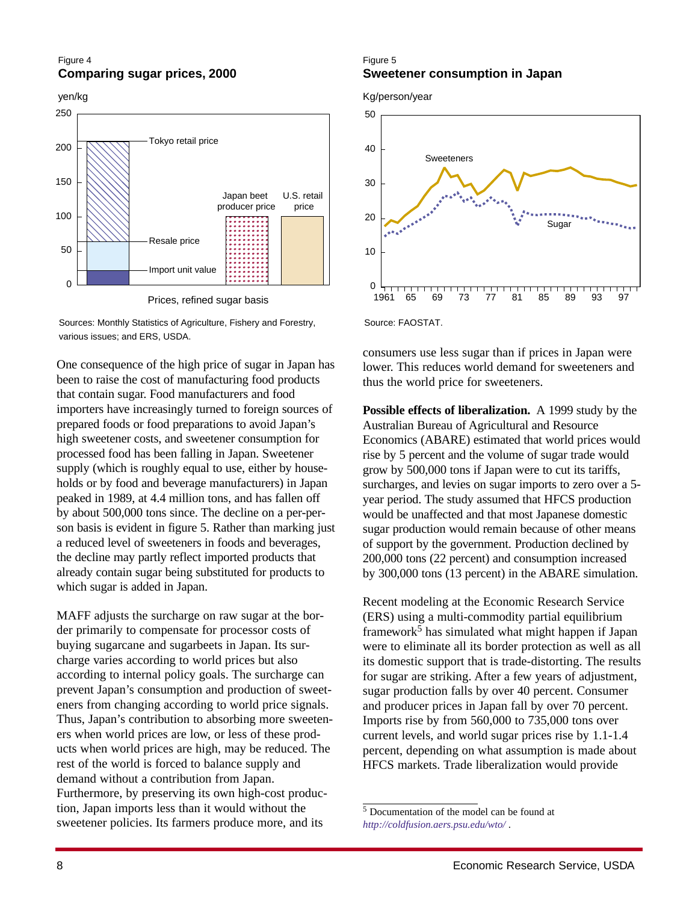### <span id="page-7-0"></span>Figure 4 **Comparing sugar prices, 2000**

yen/kg



Sources: Monthly Statistics of Agriculture, Fishery and Forestry, various issues; and ERS, USDA.

One consequence of the high price of sugar in Japan has been to raise the cost of manufacturing food products that contain sugar. Food manufacturers and food importers have increasingly turned to foreign sources of prepared foods or food preparations to avoid Japan's high sweetener costs, and sweetener consumption for processed food has been falling in Japan. Sweetener supply (which is roughly equal to use, either by households or by food and beverage manufacturers) in Japan peaked in 1989, at 4.4 million tons, and has fallen off by about 500,000 tons since. The decline on a per-person basis is evident in figure 5. Rather than marking just a reduced level of sweeteners in foods and beverages, the decline may partly reflect imported products that already contain sugar being substituted for products to which sugar is added in Japan.

MAFF adjusts the surcharge on raw sugar at the border primarily to compensate for processor costs of buying sugarcane and sugarbeets in Japan. Its surcharge varies according to world prices but also according to internal policy goals. The surcharge can prevent Japan's consumption and production of sweeteners from changing according to world price signals. Thus, Japan's contribution to absorbing more sweeteners when world prices are low, or less of these products when world prices are high, may be reduced. The rest of the world is forced to balance supply and demand without a contribution from Japan. Furthermore, by preserving its own high-cost production, Japan imports less than it would without the sweetener policies. Its farmers produce more, and its

### Figure 5 **Sweetener consumption in Japan**

Kg/person/year



Source: FAOSTAT.

consumers use less sugar than if prices in Japan were lower. This reduces world demand for sweeteners and thus the world price for sweeteners.

**Possible effects of liberalization.** A 1999 study by the Australian Bureau of Agricultural and Resource Economics (ABARE) estimated that world prices would rise by 5 percent and the volume of sugar trade would grow by 500,000 tons if Japan were to cut its tariffs, surcharges, and levies on sugar imports to zero over a 5 year period. The study assumed that HFCS production would be unaffected and that most Japanese domestic sugar production would remain because of other means of support by the government. Production declined by 200,000 tons (22 percent) and consumption increased by 300,000 tons (13 percent) in the ABARE simulation.

Recent modeling at the Economic Research Service (ERS) using a multi-commodity partial equilibrium framework<sup>5</sup> has simulated what might happen if Japan were to eliminate all its border protection as well as all its domestic support that is trade-distorting. The results for sugar are striking. After a few years of adjustment, sugar production falls by over 40 percent. Consumer and producer prices in Japan fall by over 70 percent. Imports rise by from 560,000 to 735,000 tons over current levels, and world sugar prices rise by 1.1-1.4 percent, depending on what assumption is made about HFCS markets. Trade liberalization would provide

 $\frac{5}{10}$  Documentation of the model can be found at *<http://coldfusion.aers.psu.edu/wto/>* .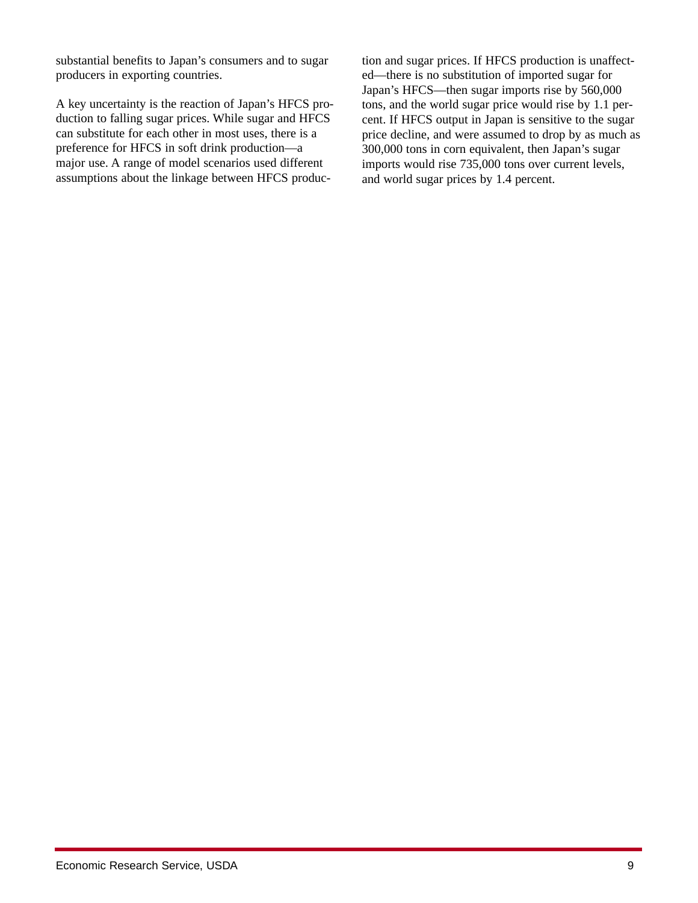substantial benefits to Japan's consumers and to sugar producers in exporting countries.

A key uncertainty is the reaction of Japan's HFCS production to falling sugar prices. While sugar and HFCS can substitute for each other in most uses, there is a preference for HFCS in soft drink production—a major use. A range of model scenarios used different assumptions about the linkage between HFCS produc-

tion and sugar prices. If HFCS production is unaffected—there is no substitution of imported sugar for Japan's HFCS—then sugar imports rise by 560,000 tons, and the world sugar price would rise by 1.1 percent. If HFCS output in Japan is sensitive to the sugar price decline, and were assumed to drop by as much as 300,000 tons in corn equivalent, then Japan's sugar imports would rise 735,000 tons over current levels, and world sugar prices by 1.4 percent.